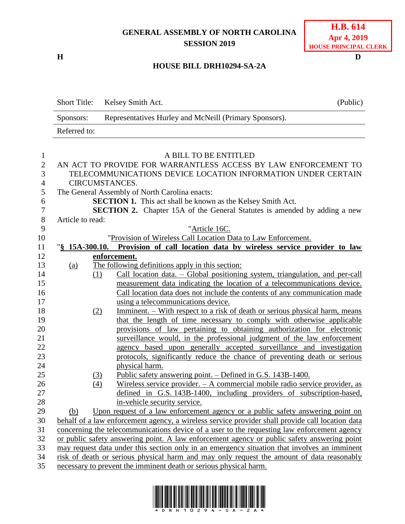## **GENERAL ASSEMBLY OF NORTH CAROLINA SESSION 2019**

**H D**

## **HOUSE BILL DRH10294-SA-2A**

|                | <b>Short Title:</b> | Kelsey Smith Act.                                                                                | (Public) |
|----------------|---------------------|--------------------------------------------------------------------------------------------------|----------|
|                | Sponsors:           | Representatives Hurley and McNeill (Primary Sponsors).                                           |          |
|                | Referred to:        |                                                                                                  |          |
|                |                     |                                                                                                  |          |
| 1              |                     | A BILL TO BE ENTITLED                                                                            |          |
| $\mathbf{2}$   |                     | AN ACT TO PROVIDE FOR WARRANTLESS ACCESS BY LAW ENFORCEMENT TO                                   |          |
| 3              |                     | TELECOMMUNICATIONS DEVICE LOCATION INFORMATION UNDER CERTAIN                                     |          |
| $\overline{4}$ |                     | CIRCUMSTANCES.                                                                                   |          |
| 5              |                     | The General Assembly of North Carolina enacts:                                                   |          |
| 6              |                     | <b>SECTION 1.</b> This act shall be known as the Kelsey Smith Act.                               |          |
| $\tau$         |                     | <b>SECTION 2.</b> Chapter 15A of the General Statutes is amended by adding a new                 |          |
| $8\,$          | Article to read:    |                                                                                                  |          |
| 9              |                     | "Article 16C.                                                                                    |          |
| 10             |                     | "Provision of Wireless Call Location Data to Law Enforcement.                                    |          |
| 11             |                     | "\\$ 15A-300.10. Provision of call location data by wireless service provider to law             |          |
| 12             |                     | enforcement.                                                                                     |          |
| 13             | (a)                 | The following definitions apply in this section:                                                 |          |
| 14             |                     | Call location data. - Global positioning system, triangulation, and per-call<br>(1)              |          |
| 15             |                     | measurement data indicating the location of a telecommunications device.                         |          |
| 16             |                     | Call location data does not include the contents of any communication made                       |          |
| 17             |                     | using a telecommunications device.                                                               |          |
| 18             |                     | <u>Imminent. – With respect to a risk of death or serious physical harm, means</u><br>(2)        |          |
| 19             |                     | that the length of time necessary to comply with otherwise applicable                            |          |
| 20             |                     | provisions of law pertaining to obtaining authorization for electronic                           |          |
| 21             |                     | surveillance would, in the professional judgment of the law enforcement                          |          |
| 22             |                     | agency based upon generally accepted surveillance and investigation                              |          |
| 23             |                     | protocols, significantly reduce the chance of preventing death or serious                        |          |
| 24             |                     | physical harm.                                                                                   |          |
| 25             |                     | <u> Public safety answering point. – Defined in G.S. 143B-1400.</u><br><u>(3)</u>                |          |
| 26             |                     | Wireless service provider. - A commercial mobile radio service provider, as<br>(4)               |          |
| 27             |                     | defined in G.S. 143B-1400, including providers of subscription-based,                            |          |
| 28             |                     | in-vehicle security service.                                                                     |          |
| 29             | (b)                 | Upon request of a law enforcement agency or a public safety answering point on                   |          |
| 30             |                     | behalf of a law enforcement agency, a wireless service provider shall provide call location data |          |
| 31             |                     | concerning the telecommunications device of a user to the requesting law enforcement agency      |          |
| 32             |                     | or public safety answering point. A law enforcement agency or public safety answering point      |          |
| 33             |                     | may request data under this section only in an emergency situation that involves an imminent     |          |
| 34             |                     | risk of death or serious physical harm and may only request the amount of data reasonably        |          |
| 25             |                     | provent the imminent dooth or serious physical horm                                              |          |

35 necessary to prevent the imminent death or serious physical harm.